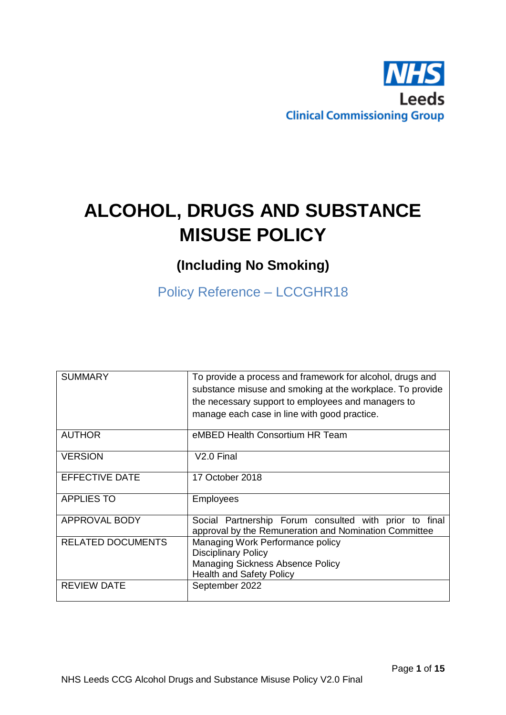

# **ALCOHOL, DRUGS AND SUBSTANCE MISUSE POLICY**

# **(Including No Smoking)**

Policy Reference – LCCGHR18

| <b>SUMMARY</b>           | To provide a process and framework for alcohol, drugs and<br>substance misuse and smoking at the workplace. To provide<br>the necessary support to employees and managers to<br>manage each case in line with good practice. |
|--------------------------|------------------------------------------------------------------------------------------------------------------------------------------------------------------------------------------------------------------------------|
| <b>AUTHOR</b>            | eMBED Health Consortium HR Team                                                                                                                                                                                              |
| <b>VERSION</b>           | V <sub>2.0</sub> Final                                                                                                                                                                                                       |
| <b>EFFECTIVE DATE</b>    | 17 October 2018                                                                                                                                                                                                              |
| <b>APPLIES TO</b>        | Employees                                                                                                                                                                                                                    |
| <b>APPROVAL BODY</b>     | Social Partnership Forum consulted with prior to final<br>approval by the Remuneration and Nomination Committee                                                                                                              |
| <b>RELATED DOCUMENTS</b> | Managing Work Performance policy<br><b>Disciplinary Policy</b><br>Managing Sickness Absence Policy<br>Health and Safety Policy                                                                                               |
| <b>REVIEW DATE</b>       | September 2022                                                                                                                                                                                                               |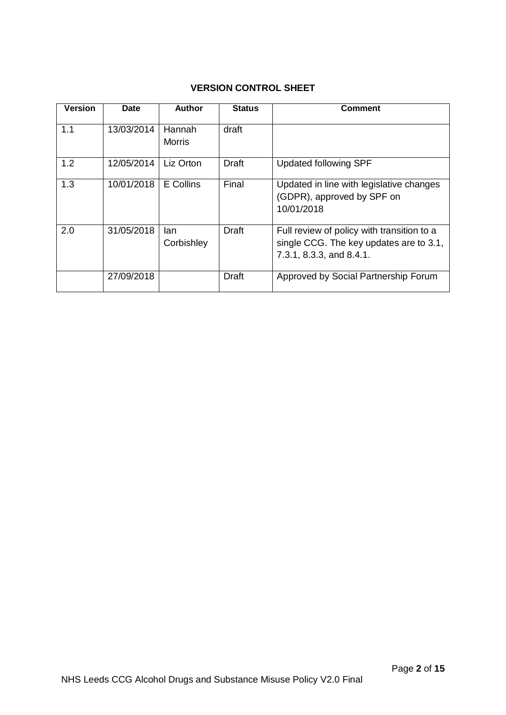# **VERSION CONTROL SHEET**

| <b>Version</b> | <b>Date</b> | Author                  | <b>Status</b> | Comment                                                                                                           |
|----------------|-------------|-------------------------|---------------|-------------------------------------------------------------------------------------------------------------------|
| 1.1            | 13/03/2014  | Hannah<br><b>Morris</b> | draft         |                                                                                                                   |
| 1.2            | 12/05/2014  | Liz Orton               | Draft         | <b>Updated following SPF</b>                                                                                      |
| 1.3            | 10/01/2018  | E Collins               | Final         | Updated in line with legislative changes<br>(GDPR), approved by SPF on<br>10/01/2018                              |
| 2.0            | 31/05/2018  | lan<br>Corbishley       | Draft         | Full review of policy with transition to a<br>single CCG. The key updates are to 3.1,<br>7.3.1, 8.3.3, and 8.4.1. |
|                | 27/09/2018  |                         | <b>Draft</b>  | Approved by Social Partnership Forum                                                                              |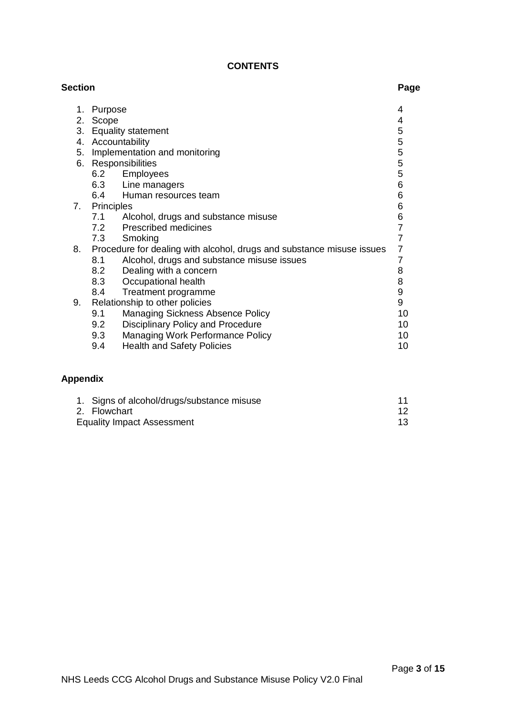# **CONTENTS**

| <b>Section</b>  |            |                                                                       | Page           |
|-----------------|------------|-----------------------------------------------------------------------|----------------|
| 1.              | Purpose    |                                                                       | 4              |
|                 | 2. Scope   |                                                                       | 4              |
|                 |            | 3. Equality statement                                                 | 5              |
|                 |            | 4. Accountability                                                     | 5              |
|                 |            | 5. Implementation and monitoring                                      | 5              |
|                 |            | 6. Responsibilities                                                   | 5              |
|                 |            | 6.2 Employees                                                         | 5              |
|                 |            | 6.3 Line managers                                                     | 6              |
|                 |            | 6.4 Human resources team                                              | 6              |
| 7.              | Principles |                                                                       | 6              |
|                 | 7.1        | Alcohol, drugs and substance misuse                                   | 6              |
|                 |            | 7.2 Prescribed medicines                                              | $\overline{7}$ |
|                 | 7.3        | Smoking                                                               | $\overline{7}$ |
| 8.              |            | Procedure for dealing with alcohol, drugs and substance misuse issues | 7              |
|                 | 8.1        | Alcohol, drugs and substance misuse issues                            | $\overline{7}$ |
|                 | 8.2        | Dealing with a concern                                                | 8              |
|                 | 8.3        | Occupational health                                                   | 8              |
|                 | 8.4        | Treatment programme                                                   | 9              |
| 9.              |            | Relationship to other policies                                        | 9              |
|                 | 9.1        | Managing Sickness Absence Policy                                      | 10             |
|                 | 9.2        | <b>Disciplinary Policy and Procedure</b>                              | 10             |
|                 | 9.3        | Managing Work Performance Policy                                      | 10             |
|                 | 9.4        | <b>Health and Safety Policies</b>                                     | 10             |
| <b>Appendix</b> |            |                                                                       |                |
|                 |            |                                                                       |                |

| 1. Signs of alcohol/drugs/substance misuse |  |
|--------------------------------------------|--|
| 2. Flowchart                               |  |
| <b>Equality Impact Assessment</b>          |  |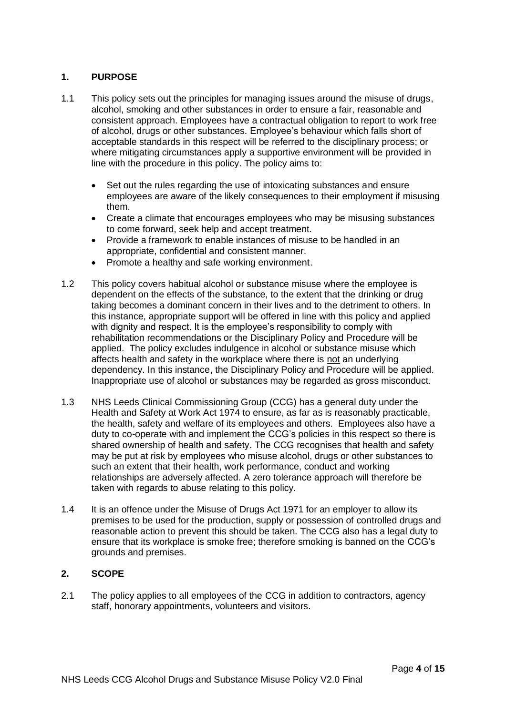# **1. PURPOSE**

- 1.1 This policy sets out the principles for managing issues around the misuse of drugs, alcohol, smoking and other substances in order to ensure a fair, reasonable and consistent approach. Employees have a contractual obligation to report to work free of alcohol, drugs or other substances. Employee's behaviour which falls short of acceptable standards in this respect will be referred to the disciplinary process; or where mitigating circumstances apply a supportive environment will be provided in line with the procedure in this policy. The policy aims to:
	- Set out the rules regarding the use of intoxicating substances and ensure employees are aware of the likely consequences to their employment if misusing them.
	- Create a climate that encourages employees who may be misusing substances to come forward, seek help and accept treatment.
	- Provide a framework to enable instances of misuse to be handled in an appropriate, confidential and consistent manner.
	- Promote a healthy and safe working environment.
- 1.2 This policy covers habitual alcohol or substance misuse where the employee is dependent on the effects of the substance, to the extent that the drinking or drug taking becomes a dominant concern in their lives and to the detriment to others. In this instance, appropriate support will be offered in line with this policy and applied with dignity and respect. It is the employee's responsibility to comply with rehabilitation recommendations or the Disciplinary Policy and Procedure will be applied. The policy excludes indulgence in alcohol or substance misuse which affects health and safety in the workplace where there is not an underlying dependency. In this instance, the Disciplinary Policy and Procedure will be applied. Inappropriate use of alcohol or substances may be regarded as gross misconduct.
- 1.3 NHS Leeds Clinical Commissioning Group (CCG) has a general duty under the Health and Safety at Work Act 1974 to ensure, as far as is reasonably practicable, the health, safety and welfare of its employees and others. Employees also have a duty to co-operate with and implement the CCG's policies in this respect so there is shared ownership of health and safety. The CCG recognises that health and safety may be put at risk by employees who misuse alcohol, drugs or other substances to such an extent that their health, work performance, conduct and working relationships are adversely affected. A zero tolerance approach will therefore be taken with regards to abuse relating to this policy.
- 1.4 It is an offence under the Misuse of Drugs Act 1971 for an employer to allow its premises to be used for the production, supply or possession of controlled drugs and reasonable action to prevent this should be taken. The CCG also has a legal duty to ensure that its workplace is smoke free; therefore smoking is banned on the CCG's grounds and premises.

# **2. SCOPE**

2.1 The policy applies to all employees of the CCG in addition to contractors, agency staff, honorary appointments, volunteers and visitors.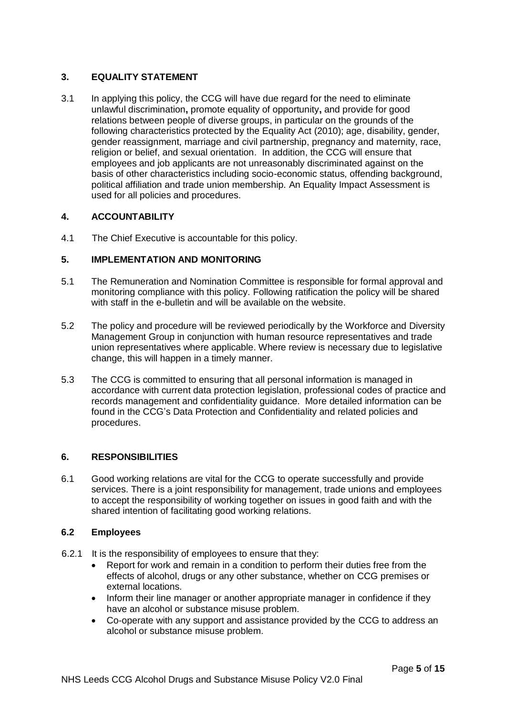# **3. EQUALITY STATEMENT**

3.1 In applying this policy, the CCG will have due regard for the need to eliminate unlawful discrimination**,** promote equality of opportunity**,** and provide for good relations between people of diverse groups, in particular on the grounds of the following characteristics protected by the Equality Act (2010); age, disability, gender, gender reassignment, marriage and civil partnership, pregnancy and maternity, race, religion or belief, and sexual orientation. In addition, the CCG will ensure that employees and job applicants are not unreasonably discriminated against on the basis of other characteristics including socio-economic status, offending background, political affiliation and trade union membership. An Equality Impact Assessment is used for all policies and procedures.

# **4. ACCOUNTABILITY**

4.1 The Chief Executive is accountable for this policy.

# **5. IMPLEMENTATION AND MONITORING**

- 5.1 The Remuneration and Nomination Committee is responsible for formal approval and monitoring compliance with this policy. Following ratification the policy will be shared with staff in the e-bulletin and will be available on the website.
- 5.2 The policy and procedure will be reviewed periodically by the Workforce and Diversity Management Group in conjunction with human resource representatives and trade union representatives where applicable. Where review is necessary due to legislative change, this will happen in a timely manner.
- 5.3 The CCG is committed to ensuring that all personal information is managed in accordance with current data protection legislation, professional codes of practice and records management and confidentiality guidance. More detailed information can be found in the CCG's Data Protection and Confidentiality and related policies and procedures.

# **6. RESPONSIBILITIES**

6.1 Good working relations are vital for the CCG to operate successfully and provide services. There is a joint responsibility for management, trade unions and employees to accept the responsibility of working together on issues in good faith and with the shared intention of facilitating good working relations.

# **6.2 Employees**

- 6.2.1 It is the responsibility of employees to ensure that they:
	- Report for work and remain in a condition to perform their duties free from the effects of alcohol, drugs or any other substance, whether on CCG premises or external locations.
	- Inform their line manager or another appropriate manager in confidence if they have an alcohol or substance misuse problem.
	- Co-operate with any support and assistance provided by the CCG to address an alcohol or substance misuse problem.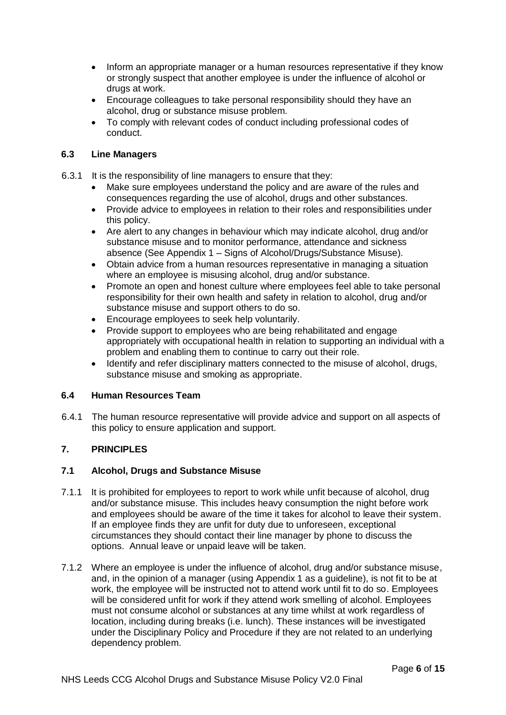- Inform an appropriate manager or a human resources representative if they know or strongly suspect that another employee is under the influence of alcohol or drugs at work.
- Encourage colleagues to take personal responsibility should they have an alcohol, drug or substance misuse problem.
- To comply with relevant codes of conduct including professional codes of conduct.

# **6.3 Line Managers**

- 6.3.1 It is the responsibility of line managers to ensure that they:
	- Make sure employees understand the policy and are aware of the rules and consequences regarding the use of alcohol, drugs and other substances.
	- Provide advice to employees in relation to their roles and responsibilities under this policy.
	- Are alert to any changes in behaviour which may indicate alcohol, drug and/or substance misuse and to monitor performance, attendance and sickness absence (See Appendix 1 – Signs of Alcohol/Drugs/Substance Misuse).
	- Obtain advice from a human resources representative in managing a situation where an employee is misusing alcohol, drug and/or substance.
	- Promote an open and honest culture where employees feel able to take personal responsibility for their own health and safety in relation to alcohol, drug and/or substance misuse and support others to do so.
	- Encourage employees to seek help voluntarily.
	- Provide support to employees who are being rehabilitated and engage appropriately with occupational health in relation to supporting an individual with a problem and enabling them to continue to carry out their role.
	- Identify and refer disciplinary matters connected to the misuse of alcohol, drugs, substance misuse and smoking as appropriate.

# **6.4 Human Resources Team**

6.4.1 The human resource representative will provide advice and support on all aspects of this policy to ensure application and support.

# **7. PRINCIPLES**

# **7.1 Alcohol, Drugs and Substance Misuse**

- 7.1.1 It is prohibited for employees to report to work while unfit because of alcohol, drug and/or substance misuse. This includes heavy consumption the night before work and employees should be aware of the time it takes for alcohol to leave their system. If an employee finds they are unfit for duty due to unforeseen, exceptional circumstances they should contact their line manager by phone to discuss the options. Annual leave or unpaid leave will be taken.
- 7.1.2 Where an employee is under the influence of alcohol, drug and/or substance misuse, and, in the opinion of a manager (using Appendix 1 as a guideline), is not fit to be at work, the employee will be instructed not to attend work until fit to do so. Employees will be considered unfit for work if they attend work smelling of alcohol. Employees must not consume alcohol or substances at any time whilst at work regardless of location, including during breaks (i.e. lunch). These instances will be investigated under the Disciplinary Policy and Procedure if they are not related to an underlying dependency problem.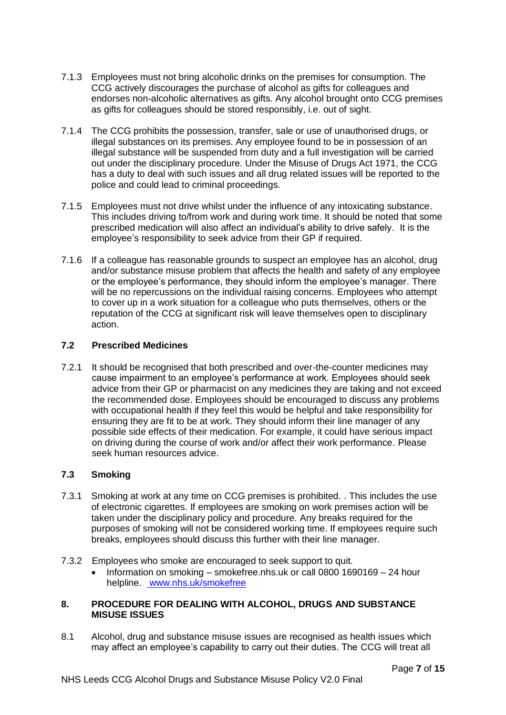- 7.1.3 Employees must not bring alcoholic drinks on the premises for consumption. The CCG actively discourages the purchase of alcohol as gifts for colleagues and endorses non-alcoholic alternatives as gifts. Any alcohol brought onto CCG premises as gifts for colleagues should be stored responsibly, i.e. out of sight.
- 7.1.4 The CCG prohibits the possession, transfer, sale or use of unauthorised drugs, or illegal substances on its premises. Any employee found to be in possession of an illegal substance will be suspended from duty and a full investigation will be carried out under the disciplinary procedure. Under the Misuse of Drugs Act 1971, the CCG has a duty to deal with such issues and all drug related issues will be reported to the police and could lead to criminal proceedings.
- 7.1.5 Employees must not drive whilst under the influence of any intoxicating substance. This includes driving to/from work and during work time. It should be noted that some prescribed medication will also affect an individual's ability to drive safely. It is the employee's responsibility to seek advice from their GP if required.
- 7.1.6 If a colleague has reasonable grounds to suspect an employee has an alcohol, drug and/or substance misuse problem that affects the health and safety of any employee or the employee's performance, they should inform the employee's manager. There will be no repercussions on the individual raising concerns. Employees who attempt to cover up in a work situation for a colleague who puts themselves, others or the reputation of the CCG at significant risk will leave themselves open to disciplinary action.

# **7.2 Prescribed Medicines**

7.2.1 It should be recognised that both prescribed and over-the-counter medicines may cause impairment to an employee's performance at work. Employees should seek advice from their GP or pharmacist on any medicines they are taking and not exceed the recommended dose. Employees should be encouraged to discuss any problems with occupational health if they feel this would be helpful and take responsibility for ensuring they are fit to be at work. They should inform their line manager of any possible side effects of their medication. For example, it could have serious impact on driving during the course of work and/or affect their work performance. Please seek human resources advice.

# **7.3 Smoking**

- 7.3.1 Smoking at work at any time on CCG premises is prohibited. . This includes the use of electronic cigarettes. If employees are smoking on work premises action will be taken under the disciplinary policy and procedure. Any breaks required for the purposes of smoking will not be considered working time. If employees require such breaks, employees should discuss this further with their line manager.
- 7.3.2 Employees who smoke are encouraged to seek support to quit.
	- Information on smoking smokefree.nhs.uk or call 0800 1690169 24 hour helpline. www.nhs.uk/smokefree

# **8. PROCEDURE FOR DEALING WITH ALCOHOL, DRUGS AND SUBSTANCE MISUSE ISSUES**

8.1 Alcohol, drug and substance misuse issues are recognised as health issues which may affect an employee's capability to carry out their duties. The CCG will treat all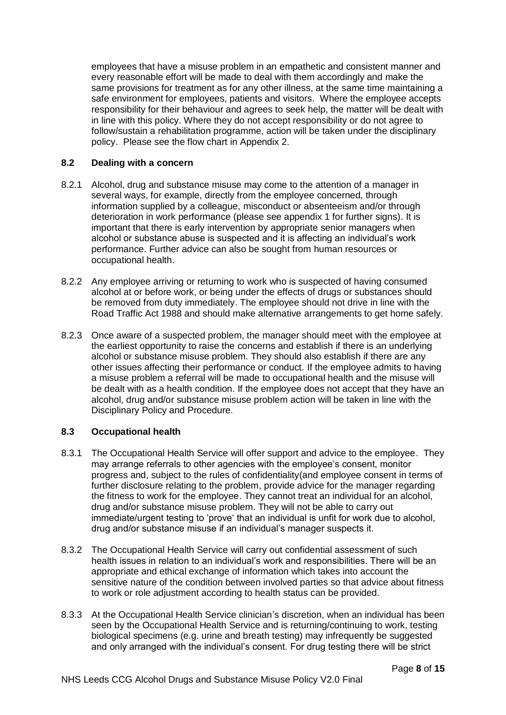employees that have a misuse problem in an empathetic and consistent manner and every reasonable effort will be made to deal with them accordingly and make the same provisions for treatment as for any other illness, at the same time maintaining a safe environment for employees, patients and visitors. Where the employee accepts responsibility for their behaviour and agrees to seek help, the matter will be dealt with in line with this policy. Where they do not accept responsibility or do not agree to follow/sustain a rehabilitation programme, action will be taken under the disciplinary policy. Please see the flow chart in Appendix 2.

# **8.2 Dealing with a concern**

- 8.2.1 Alcohol, drug and substance misuse may come to the attention of a manager in several ways, for example, directly from the employee concerned, through information supplied by a colleague, misconduct or absenteeism and/or through deterioration in work performance (please see appendix 1 for further signs). It is important that there is early intervention by appropriate senior managers when alcohol or substance abuse is suspected and it is affecting an individual's work performance. Further advice can also be sought from human resources or occupational health.
- 8.2.2 Any employee arriving or returning to work who is suspected of having consumed alcohol at or before work, or being under the effects of drugs or substances should be removed from duty immediately. The employee should not drive in line with the Road Traffic Act 1988 and should make alternative arrangements to get home safely.
- 8.2.3 Once aware of a suspected problem, the manager should meet with the employee at the earliest opportunity to raise the concerns and establish if there is an underlying alcohol or substance misuse problem. They should also establish if there are any other issues affecting their performance or conduct. If the employee admits to having a misuse problem a referral will be made to occupational health and the misuse will be dealt with as a health condition. If the employee does not accept that they have an alcohol, drug and/or substance misuse problem action will be taken in line with the Disciplinary Policy and Procedure.

# **8.3 Occupational health**

- 8.3.1 The Occupational Health Service will offer support and advice to the employee. They may arrange referrals to other agencies with the employee's consent, monitor progress and, subject to the rules of confidentiality(and employee consent in terms of further disclosure relating to the problem, provide advice for the manager regarding the fitness to work for the employee. They cannot treat an individual for an alcohol, drug and/or substance misuse problem. They will not be able to carry out immediate/urgent testing to 'prove' that an individual is unfit for work due to alcohol, drug and/or substance misuse if an individual's manager suspects it.
- 8.3.2 The Occupational Health Service will carry out confidential assessment of such health issues in relation to an individual's work and responsibilities. There will be an appropriate and ethical exchange of information which takes into account the sensitive nature of the condition between involved parties so that advice about fitness to work or role adjustment according to health status can be provided.
- 8.3.3 At the Occupational Health Service clinician's discretion, when an individual has been seen by the Occupational Health Service and is returning/continuing to work, testing biological specimens (e.g. urine and breath testing) may infrequently be suggested and only arranged with the individual's consent. For drug testing there will be strict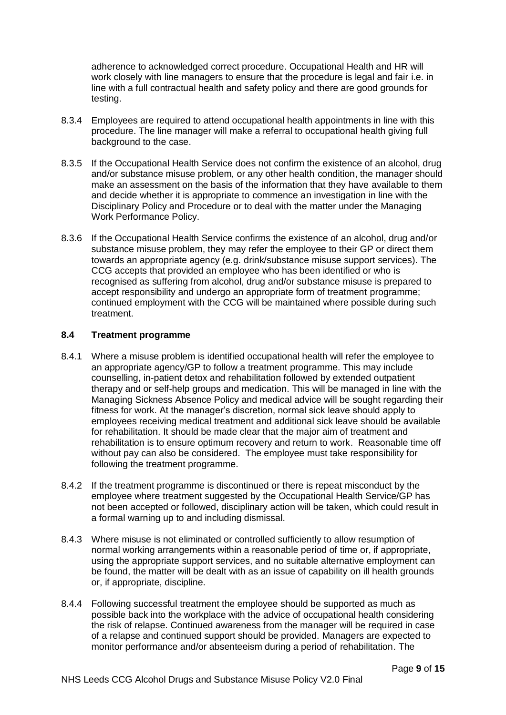adherence to acknowledged correct procedure. Occupational Health and HR will work closely with line managers to ensure that the procedure is legal and fair i.e. in line with a full contractual health and safety policy and there are good grounds for testing.

- 8.3.4 Employees are required to attend occupational health appointments in line with this procedure. The line manager will make a referral to occupational health giving full background to the case.
- 8.3.5 If the Occupational Health Service does not confirm the existence of an alcohol, drug and/or substance misuse problem, or any other health condition, the manager should make an assessment on the basis of the information that they have available to them and decide whether it is appropriate to commence an investigation in line with the Disciplinary Policy and Procedure or to deal with the matter under the Managing Work Performance Policy.
- 8.3.6 If the Occupational Health Service confirms the existence of an alcohol, drug and/or substance misuse problem, they may refer the employee to their GP or direct them towards an appropriate agency (e.g. drink/substance misuse support services). The CCG accepts that provided an employee who has been identified or who is recognised as suffering from alcohol, drug and/or substance misuse is prepared to accept responsibility and undergo an appropriate form of treatment programme; continued employment with the CCG will be maintained where possible during such treatment.

#### **8.4 Treatment programme**

- 8.4.1 Where a misuse problem is identified occupational health will refer the employee to an appropriate agency/GP to follow a treatment programme. This may include counselling, in-patient detox and rehabilitation followed by extended outpatient therapy and or self-help groups and medication. This will be managed in line with the Managing Sickness Absence Policy and medical advice will be sought regarding their fitness for work. At the manager's discretion, normal sick leave should apply to employees receiving medical treatment and additional sick leave should be available for rehabilitation. It should be made clear that the major aim of treatment and rehabilitation is to ensure optimum recovery and return to work. Reasonable time off without pay can also be considered. The employee must take responsibility for following the treatment programme.
- 8.4.2 If the treatment programme is discontinued or there is repeat misconduct by the employee where treatment suggested by the Occupational Health Service/GP has not been accepted or followed, disciplinary action will be taken, which could result in a formal warning up to and including dismissal.
- 8.4.3 Where misuse is not eliminated or controlled sufficiently to allow resumption of normal working arrangements within a reasonable period of time or, if appropriate, using the appropriate support services, and no suitable alternative employment can be found, the matter will be dealt with as an issue of capability on ill health grounds or, if appropriate, discipline.
- 8.4.4 Following successful treatment the employee should be supported as much as possible back into the workplace with the advice of occupational health considering the risk of relapse. Continued awareness from the manager will be required in case of a relapse and continued support should be provided. Managers are expected to monitor performance and/or absenteeism during a period of rehabilitation. The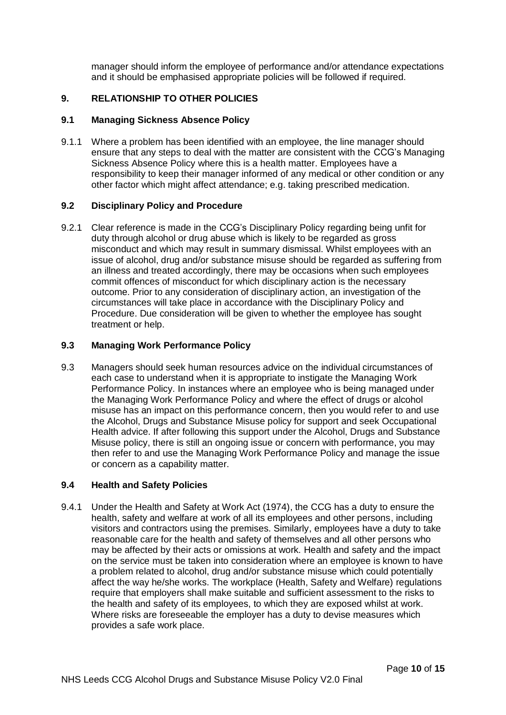manager should inform the employee of performance and/or attendance expectations and it should be emphasised appropriate policies will be followed if required.

# **9. RELATIONSHIP TO OTHER POLICIES**

#### **9.1 Managing Sickness Absence Policy**

9.1.1 Where a problem has been identified with an employee, the line manager should ensure that any steps to deal with the matter are consistent with the CCG's Managing Sickness Absence Policy where this is a health matter. Employees have a responsibility to keep their manager informed of any medical or other condition or any other factor which might affect attendance; e.g. taking prescribed medication.

#### **9.2 Disciplinary Policy and Procedure**

9.2.1 Clear reference is made in the CCG's Disciplinary Policy regarding being unfit for duty through alcohol or drug abuse which is likely to be regarded as gross misconduct and which may result in summary dismissal. Whilst employees with an issue of alcohol, drug and/or substance misuse should be regarded as suffering from an illness and treated accordingly, there may be occasions when such employees commit offences of misconduct for which disciplinary action is the necessary outcome. Prior to any consideration of disciplinary action, an investigation of the circumstances will take place in accordance with the Disciplinary Policy and Procedure. Due consideration will be given to whether the employee has sought treatment or help.

#### **9.3 Managing Work Performance Policy**

9.3 Managers should seek human resources advice on the individual circumstances of each case to understand when it is appropriate to instigate the Managing Work Performance Policy. In instances where an employee who is being managed under the Managing Work Performance Policy and where the effect of drugs or alcohol misuse has an impact on this performance concern, then you would refer to and use the Alcohol, Drugs and Substance Misuse policy for support and seek Occupational Health advice. If after following this support under the Alcohol, Drugs and Substance Misuse policy, there is still an ongoing issue or concern with performance, you may then refer to and use the Managing Work Performance Policy and manage the issue or concern as a capability matter.

#### **9.4 Health and Safety Policies**

9.4.1 Under the Health and Safety at Work Act (1974), the CCG has a duty to ensure the health, safety and welfare at work of all its employees and other persons, including visitors and contractors using the premises. Similarly, employees have a duty to take reasonable care for the health and safety of themselves and all other persons who may be affected by their acts or omissions at work. Health and safety and the impact on the service must be taken into consideration where an employee is known to have a problem related to alcohol, drug and/or substance misuse which could potentially affect the way he/she works. The workplace (Health, Safety and Welfare) regulations require that employers shall make suitable and sufficient assessment to the risks to the health and safety of its employees, to which they are exposed whilst at work. Where risks are foreseeable the employer has a duty to devise measures which provides a safe work place.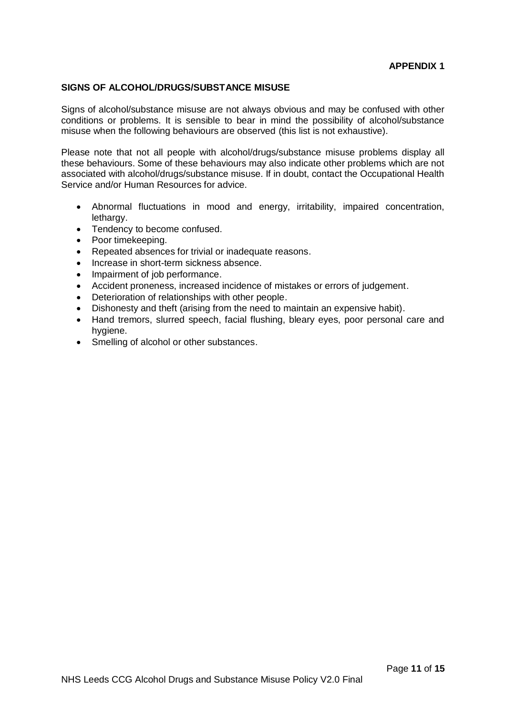#### **SIGNS OF ALCOHOL/DRUGS/SUBSTANCE MISUSE**

Signs of alcohol/substance misuse are not always obvious and may be confused with other conditions or problems. It is sensible to bear in mind the possibility of alcohol/substance misuse when the following behaviours are observed (this list is not exhaustive).

Please note that not all people with alcohol/drugs/substance misuse problems display all these behaviours. Some of these behaviours may also indicate other problems which are not associated with alcohol/drugs/substance misuse. If in doubt, contact the Occupational Health Service and/or Human Resources for advice.

- Abnormal fluctuations in mood and energy, irritability, impaired concentration, lethargy.
- Tendency to become confused.
- Poor timekeeping.
- Repeated absences for trivial or inadequate reasons.
- Increase in short-term sickness absence.
- Impairment of job performance.
- Accident proneness, increased incidence of mistakes or errors of judgement.
- Deterioration of relationships with other people.
- Dishonesty and theft (arising from the need to maintain an expensive habit).
- Hand tremors, slurred speech, facial flushing, bleary eyes, poor personal care and hygiene.
- Smelling of alcohol or other substances.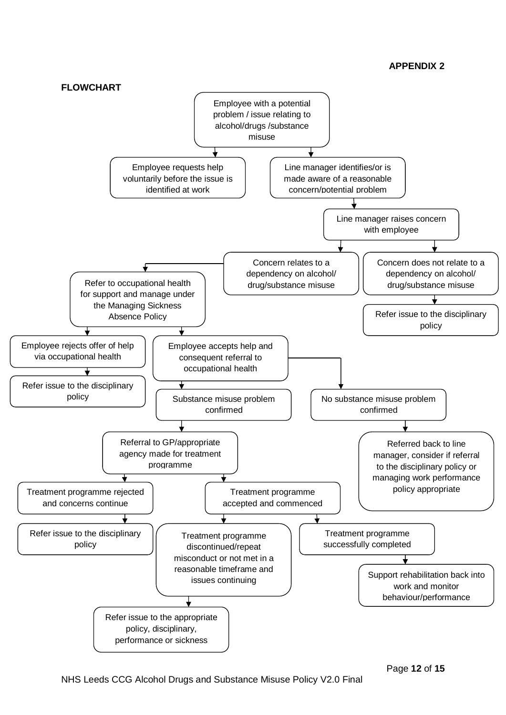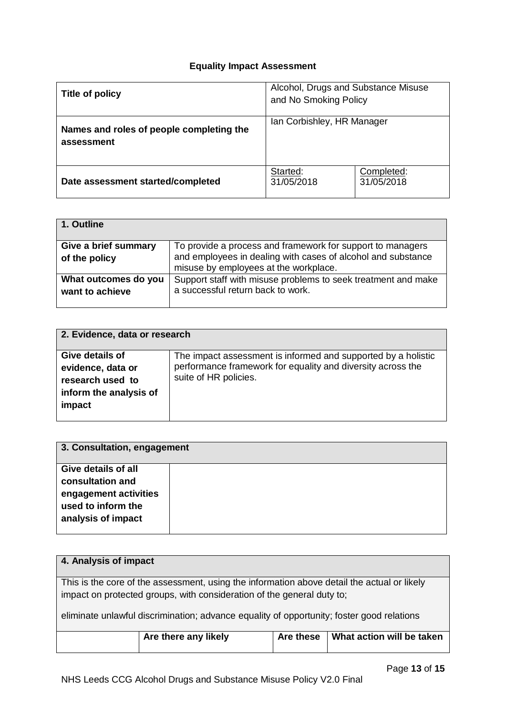# **Equality Impact Assessment**

| Title of policy                                        | Alcohol, Drugs and Substance Misuse<br>and No Smoking Policy |                          |
|--------------------------------------------------------|--------------------------------------------------------------|--------------------------|
| Names and roles of people completing the<br>assessment | Ian Corbishley, HR Manager                                   |                          |
| Date assessment started/completed                      | Started:<br>31/05/2018                                       | Completed:<br>31/05/2018 |

| 1. Outline           |                                                               |
|----------------------|---------------------------------------------------------------|
| Give a brief summary | To provide a process and framework for support to managers    |
| of the policy        | and employees in dealing with cases of alcohol and substance  |
|                      | misuse by employees at the workplace.                         |
| What outcomes do you | Support staff with misuse problems to seek treatment and make |
| want to achieve      | a successful return back to work.                             |
|                      |                                                               |

| 2. Evidence, data or research |                                                               |  |  |
|-------------------------------|---------------------------------------------------------------|--|--|
| Give details of               | The impact assessment is informed and supported by a holistic |  |  |
| evidence, data or             | performance framework for equality and diversity across the   |  |  |
| research used to              | suite of HR policies.                                         |  |  |
| inform the analysis of        |                                                               |  |  |
| impact                        |                                                               |  |  |
|                               |                                                               |  |  |

| 3. Consultation, engagement                                                           |  |
|---------------------------------------------------------------------------------------|--|
| <b>Give details of all</b>                                                            |  |
| consultation and<br>engagement activities<br>used to inform the<br>analysis of impact |  |
|                                                                                       |  |

| 4. Analysis of impact                                                                     |                                                                                             |  |  |  |  |  |
|-------------------------------------------------------------------------------------------|---------------------------------------------------------------------------------------------|--|--|--|--|--|
|                                                                                           | This is the core of the assessment, using the information above detail the actual or likely |  |  |  |  |  |
|                                                                                           |                                                                                             |  |  |  |  |  |
|                                                                                           | impact on protected groups, with consideration of the general duty to;                      |  |  |  |  |  |
|                                                                                           |                                                                                             |  |  |  |  |  |
|                                                                                           |                                                                                             |  |  |  |  |  |
| eliminate unlawful discrimination; advance equality of opportunity; foster good relations |                                                                                             |  |  |  |  |  |
|                                                                                           |                                                                                             |  |  |  |  |  |
|                                                                                           |                                                                                             |  |  |  |  |  |
| Are these<br>What action will be taken<br>Are there any likely                            |                                                                                             |  |  |  |  |  |
|                                                                                           |                                                                                             |  |  |  |  |  |
|                                                                                           |                                                                                             |  |  |  |  |  |
|                                                                                           |                                                                                             |  |  |  |  |  |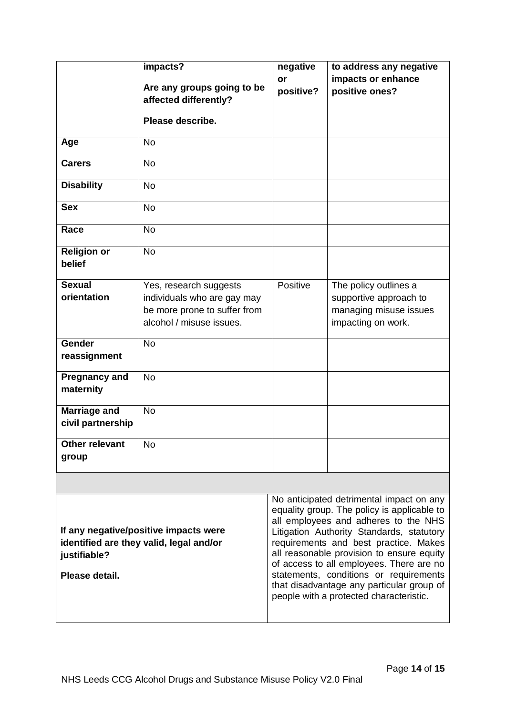|                                                                                                                    | impacts?<br>Are any groups going to be<br>affected differently?<br>Please describe.                               | negative<br>or<br>positive? | to address any negative<br>impacts or enhance<br>positive ones?                                                                                                                                                                                                                                                                                                                                                                                  |
|--------------------------------------------------------------------------------------------------------------------|-------------------------------------------------------------------------------------------------------------------|-----------------------------|--------------------------------------------------------------------------------------------------------------------------------------------------------------------------------------------------------------------------------------------------------------------------------------------------------------------------------------------------------------------------------------------------------------------------------------------------|
| Age                                                                                                                | <b>No</b>                                                                                                         |                             |                                                                                                                                                                                                                                                                                                                                                                                                                                                  |
| <b>Carers</b>                                                                                                      | <b>No</b>                                                                                                         |                             |                                                                                                                                                                                                                                                                                                                                                                                                                                                  |
| <b>Disability</b>                                                                                                  | <b>No</b>                                                                                                         |                             |                                                                                                                                                                                                                                                                                                                                                                                                                                                  |
| <b>Sex</b>                                                                                                         | <b>No</b>                                                                                                         |                             |                                                                                                                                                                                                                                                                                                                                                                                                                                                  |
| Race                                                                                                               | <b>No</b>                                                                                                         |                             |                                                                                                                                                                                                                                                                                                                                                                                                                                                  |
| <b>Religion or</b><br>belief                                                                                       | <b>No</b>                                                                                                         |                             |                                                                                                                                                                                                                                                                                                                                                                                                                                                  |
| <b>Sexual</b><br>orientation                                                                                       | Yes, research suggests<br>individuals who are gay may<br>be more prone to suffer from<br>alcohol / misuse issues. | Positive                    | The policy outlines a<br>supportive approach to<br>managing misuse issues<br>impacting on work.                                                                                                                                                                                                                                                                                                                                                  |
| <b>Gender</b><br>reassignment                                                                                      | <b>No</b>                                                                                                         |                             |                                                                                                                                                                                                                                                                                                                                                                                                                                                  |
| <b>Pregnancy and</b><br>maternity                                                                                  | <b>No</b>                                                                                                         |                             |                                                                                                                                                                                                                                                                                                                                                                                                                                                  |
| <b>Marriage and</b><br>civil partnership                                                                           | <b>No</b>                                                                                                         |                             |                                                                                                                                                                                                                                                                                                                                                                                                                                                  |
| <b>Other relevant</b><br>group                                                                                     | <b>No</b>                                                                                                         |                             |                                                                                                                                                                                                                                                                                                                                                                                                                                                  |
|                                                                                                                    |                                                                                                                   |                             |                                                                                                                                                                                                                                                                                                                                                                                                                                                  |
| If any negative/positive impacts were<br>identified are they valid, legal and/or<br>justifiable?<br>Please detail. |                                                                                                                   |                             | No anticipated detrimental impact on any<br>equality group. The policy is applicable to<br>all employees and adheres to the NHS<br>Litigation Authority Standards, statutory<br>requirements and best practice. Makes<br>all reasonable provision to ensure equity<br>of access to all employees. There are no<br>statements, conditions or requirements<br>that disadvantage any particular group of<br>people with a protected characteristic. |